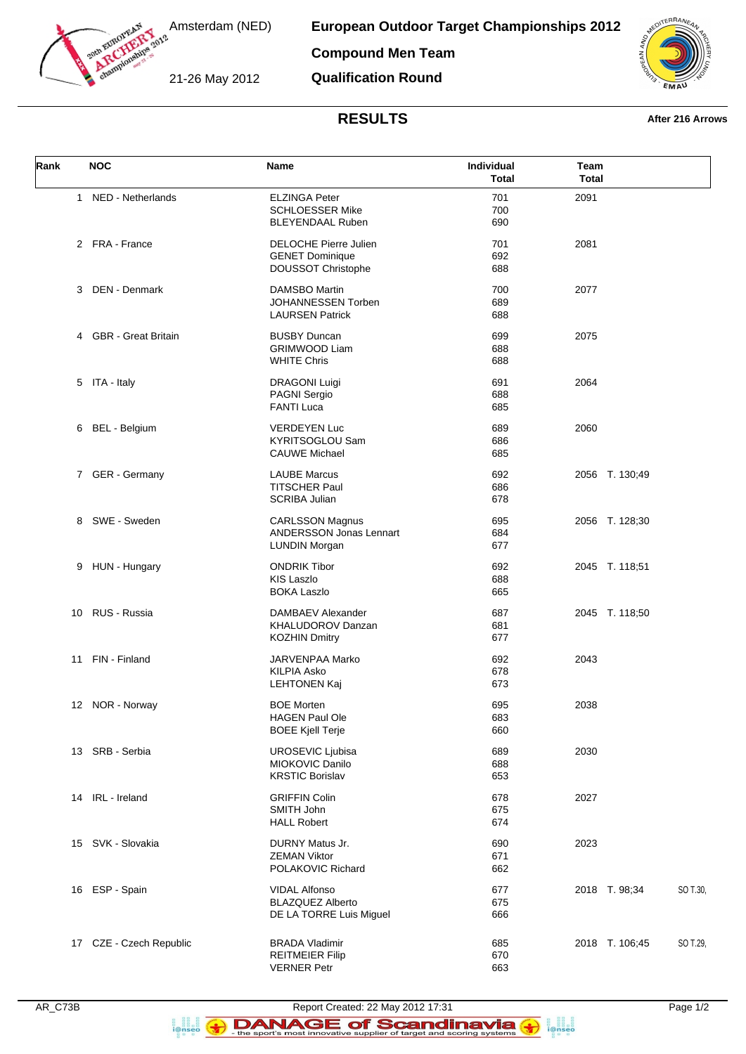

Amsterdam (NED)

**European Outdoor Target Championships 2012**

**Compound Men Team**

21-26 May 2012

**Qualification Round**



## **RESULTS After 216 Arrows**

| Rank | <b>NOC</b>              | Name                                                                         | Individual<br><b>Total</b> | Team<br><b>Total</b>       |
|------|-------------------------|------------------------------------------------------------------------------|----------------------------|----------------------------|
| 1    | NED - Netherlands       | <b>ELZINGA Peter</b><br><b>SCHLOESSER Mike</b><br><b>BLEYENDAAL Ruben</b>    | 701<br>700<br>690          | 2091                       |
|      | 2 FRA - France          | <b>DELOCHE Pierre Julien</b><br><b>GENET Dominique</b><br>DOUSSOT Christophe | 701<br>692<br>688          | 2081                       |
| 3    | DEN - Denmark           | <b>DAMSBO Martin</b><br>JOHANNESSEN Torben<br><b>LAURSEN Patrick</b>         | 700<br>689<br>688          | 2077                       |
|      | 4 GBR - Great Britain   | <b>BUSBY Duncan</b><br><b>GRIMWOOD Liam</b><br><b>WHITE Chris</b>            | 699<br>688<br>688          | 2075                       |
|      | 5 ITA - Italy           | <b>DRAGONI Luigi</b><br><b>PAGNI Sergio</b><br><b>FANTI Luca</b>             | 691<br>688<br>685          | 2064                       |
| 6    | BEL - Belgium           | <b>VERDEYEN Luc</b><br>KYRITSOGLOU Sam<br><b>CAUWE Michael</b>               | 689<br>686<br>685          | 2060                       |
|      | 7 GER - Germany         | <b>LAUBE Marcus</b><br><b>TITSCHER Paul</b><br><b>SCRIBA Julian</b>          | 692<br>686<br>678          | 2056 T. 130;49             |
|      | 8 SWE - Sweden          | <b>CARLSSON Magnus</b><br>ANDERSSON Jonas Lennart<br><b>LUNDIN Morgan</b>    | 695<br>684<br>677          | 2056 T. 128;30             |
| 9    | HUN - Hungary           | <b>ONDRIK Tibor</b><br><b>KIS Laszlo</b><br><b>BOKA Laszlo</b>               | 692<br>688<br>665          | 2045 T. 118;51             |
|      | 10 RUS - Russia         | DAMBAEV Alexander<br><b>KHALUDOROV Danzan</b><br><b>KOZHIN Dmitry</b>        | 687<br>681<br>677          | 2045 T. 118;50             |
| 11   | FIN - Finland           | JARVENPAA Marko<br><b>KILPIA Asko</b><br><b>LEHTONEN Kaj</b>                 | 692<br>678<br>673          | 2043                       |
|      | 12 NOR - Norway         | <b>BOE Morten</b><br><b>HAGEN Paul Ole</b><br><b>BOEE Kjell Terje</b>        | 695<br>683<br>660          | 2038                       |
|      | 13 SRB - Serbia         | UROSEVIC Ljubisa<br>MIOKOVIC Danilo<br><b>KRSTIC Borislav</b>                | 689<br>688<br>653          | 2030                       |
|      | 14 IRL - Ireland        | <b>GRIFFIN Colin</b><br>SMITH John<br><b>HALL Robert</b>                     | 678<br>675<br>674          | 2027                       |
|      | 15 SVK - Slovakia       | <b>DURNY Matus Jr.</b><br><b>ZEMAN Viktor</b><br>POLAKOVIC Richard           | 690<br>671<br>662          | 2023                       |
|      | 16 ESP - Spain          | <b>VIDAL Alfonso</b><br><b>BLAZQUEZ Alberto</b><br>DE LA TORRE Luis Miguel   | 677<br>675<br>666          | 2018 T. 98;34<br>SO T.30,  |
|      | 17 CZE - Czech Republic | <b>BRADA Vladimir</b><br><b>REITMEIER Filip</b><br><b>VERNER Petr</b>        | 685<br>670<br>663          | 2018 T. 106;45<br>SO T.29, |

a ana an<br>i@nseo